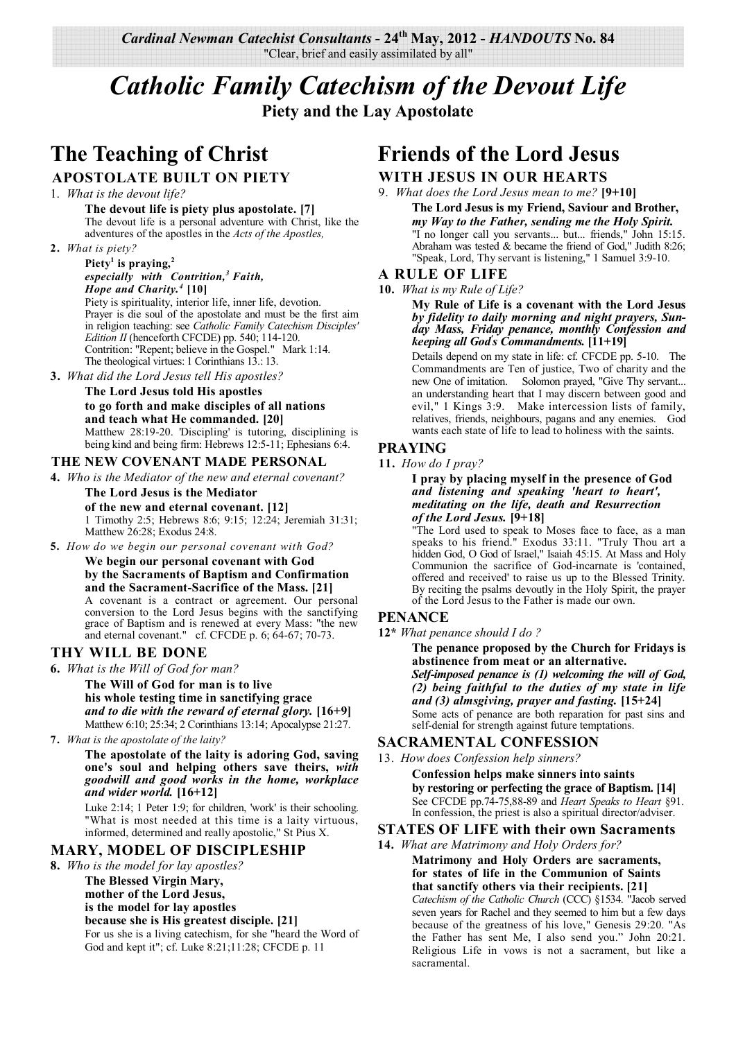*Cardinal Newman Catechist Consultants* **- 24th May, 2012 -** *HANDOUTS* **No. 84**  "Clear, brief and easily assimilated by all"

# *Catholic Family Catechism of the Devout Life*  **Piety and the Lay Apostolate**

# **The Teaching of Christ APOSTOLATE BUILT ON PIETY**

- 1. *What is the devout life?*
	- **The devout life is piety plus apostolate. [7]** The devout life is a personal adventure with Christ, like the adventures of the apostles in the *Acts of the Apostles,*
- **2.** *What is piety?*

#### **Piety<sup>1</sup> is praying,<sup>2</sup>** *especially with Contrition,<sup>3</sup>Faith, Hope and Charity.<sup>4</sup>* **[10]**

Piety is spirituality, interior life, inner life, devotion. Prayer is die soul of the apostolate and must be the first aim in religion teaching: see *Catholic Family Catechism Disciples' Edition II* (henceforth CFCDE) pp. 540; 114-120. Contrition: "Repent; believe in the Gospel." Mark 1:14. The theological virtues: 1 Corinthians 13.: 13.

**3.** *What did the Lord Jesus tell His apostles?*

#### **The Lord Jesus told His apostles to go forth and make disciples of all nations and teach what He commanded. [20]** Matthew 28:19-20. 'Discipling' is tutoring, disciplining is being kind and being firm: Hebrews 12:5-11; Ephesians 6:4.

## **THE NEW COVENANT MADE PERSONAL**

**4.** *Who is the Mediator of the new and eternal covenant?*

**The Lord Jesus is the Mediator of the new and eternal covenant. [12]** 1 Timothy 2:5; Hebrews 8:6; 9:15; 12:24; Jeremiah 31:31; Matthew 26:28; Exodus 24:8.

**5.** *How do we begin our personal covenant with God?*

**We begin our personal covenant with God by the Sacraments of Baptism and Confirmation and the Sacrament-Sacrifice of the Mass. [21]** A covenant is a contract or agreement. Our personal conversion to the Lord Jesus begins with the sanctifying grace of Baptism and is renewed at every Mass: "the new and eternal covenant." cf. CFCDE p. 6; 64-67; 70-73.

## **THY WILL BE DONE**

**6.** *What is the Will of God for man?*

**The Will of God for man is to live his whole testing time in sanctifying grace** *and to die with the reward of eternal glory.* **[16+9]** Matthew 6:10; 25:34; 2 Corinthians 13:14; Apocalypse 21:27.

**7.** *What is the apostolate of the laity?*

#### **The apostolate of the laity is adoring God, saving one's soul and helping others save theirs,** *with goodwill and good works in the home, workplace and wider world.* **[16+12]**

Luke 2:14; 1 Peter 1:9; for children, 'work' is their schooling. "What is most needed at this time is a laity virtuous, informed, determined and really apostolic," St Pius X.

## **MARY, MODEL OF DISCIPLESHIP**

**8.** *Who is the model for lay apostles?*

**The Blessed Virgin Mary, mother of the Lord Jesus, is the model for lay apostles because she is His greatest disciple. [21]** For us she is a living catechism, for she "heard the Word of God and kept it"; cf. Luke 8:21;11:28; CFCDE p. 11

# **Friends of the Lord Jesus**

# **WITH JESUS IN OUR HEARTS**

9. *What does the Lord Jesus mean to me?* **[9+10]**

**The Lord Jesus is my Friend, Saviour and Brother,** *my Way to the Father, sending me the Holy Spirit.* "I no longer call you servants... but... friends," John 15:15. Abraham was tested & became the friend of God," Judith 8:26; "Speak, Lord, Thy servant is listening," 1 Samuel 3:9-10.

## **A RULE OF LIFE**

**10.** *What is my Rule of Life?*

**My Rule of Life is a covenant with the Lord Jesus**  *by fidelity to daily morning and night prayers, Sunday Mass, Friday penance, monthly Confession and keeping all God' s Commandments.* **[11+19]** 

Details depend on my state in life: cf. CFCDE pp. 5-10. The Commandments are Ten of justice, Two of charity and the new One of imitation. Solomon prayed, "Give Thy servant... an understanding heart that I may discern between good and evil," 1 Kings 3:9. Make intercession lists of family, relatives, friends, neighbours, pagans and any enemies. God wants each state of life to lead to holiness with the saints.

## **PRAYING**

**11.** *How do I pray?*

#### **I pray by placing myself in the presence of God** *and listening and speaking 'heart to heart', meditating on the life, death and Resurrection of the Lord Jesus.* **[9+18]**

"The Lord used to speak to Moses face to face, as a man speaks to his friend." Exodus 33:11. "Truly Thou art a hidden God, O God of Israel," Isaiah 45:15. At Mass and Holy Communion the sacrifice of God-incarnate is 'contained, offered and received' to raise us up to the Blessed Trinity. By reciting the psalms devoutly in the Holy Spirit, the prayer of the Lord Jesus to the Father is made our own.

## **PENANCE**

**12\*** *What penance should I do ?*

**The penance proposed by the Church for Fridays is abstinence from meat or an alternative.**

*Self-imposed penance is (1) welcoming the will of God, (2) being faithful to the duties of my state in life and (3) almsgiving, prayer and fasting.* **[15+24]** Some acts of penance are both reparation for past sins and self-denial for strength against future temptations.

## **SACRAMENTAL CONFESSION**

13. *How does Confession help sinners?*

**Confession helps make sinners into saints by restoring or perfecting the grace of Baptism. [14]** See CFCDE pp.74-75,88-89 and *Heart Speaks to Heart* §91. In confession, the priest is also a spiritual director/adviser.

## **STATES OF LIFE with their own Sacraments**

#### **14.** *What are Matrimony and Holy Orders for?*

**Matrimony and Holy Orders are sacraments, for states of life in the Communion of Saints that sanctify others via their recipients. [21]**

*Catechism of the Catholic Church* (CCC) §1534. "Jacob served seven years for Rachel and they seemed to him but a few days because of the greatness of his love," Genesis 29:20. "As the Father has sent Me, I also send you." John 20:21. Religious Life in vows is not a sacrament, but like a sacramental.